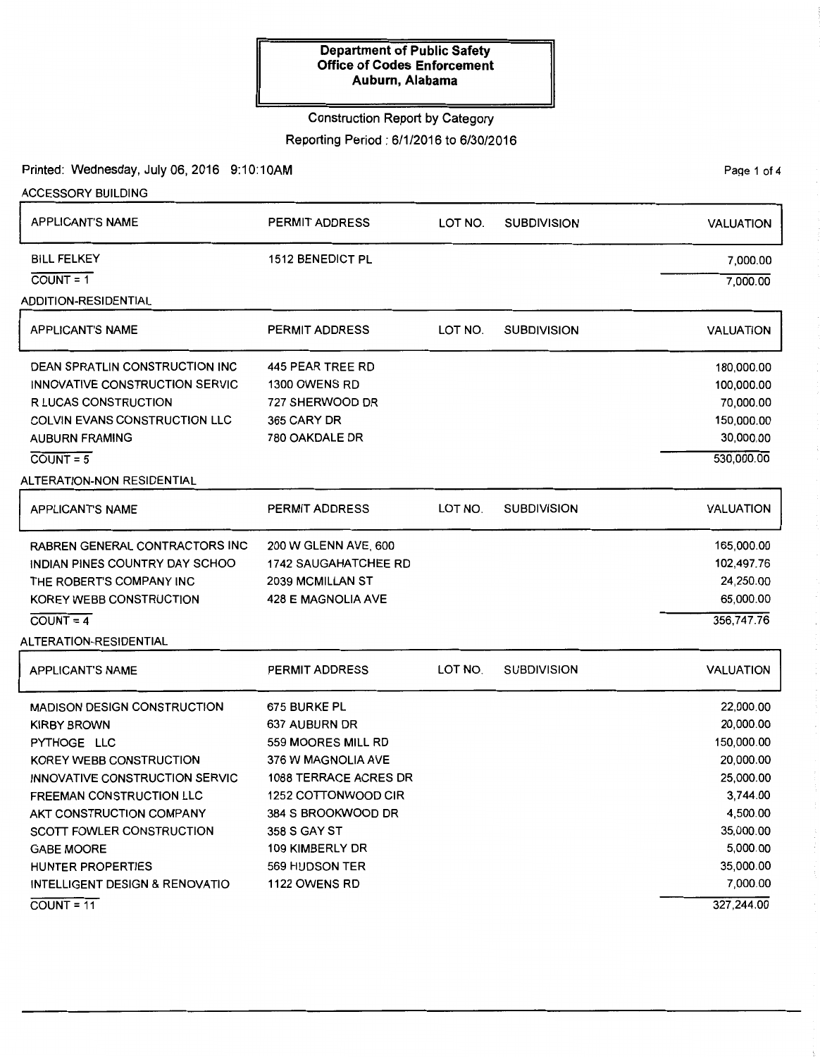### Construction Report by Category

Reporting Period: 6/1/2016 to 6/30/2016

Printed: Wednesday, July 06, 2016 9:10:10AM

ACCESSORY BUILDING

PaQe 1 of 4

| <b>APPLICANT'S NAME</b>                                                                                                                                                                                                                                                                                                      | <b>PERMIT ADDRESS</b>                                                                                                                                                                                                 | LOT NO. | <b>SUBDIVISION</b> | <b>VALUATION</b>                                                                                                                                       |
|------------------------------------------------------------------------------------------------------------------------------------------------------------------------------------------------------------------------------------------------------------------------------------------------------------------------------|-----------------------------------------------------------------------------------------------------------------------------------------------------------------------------------------------------------------------|---------|--------------------|--------------------------------------------------------------------------------------------------------------------------------------------------------|
| <b>BILL FELKEY</b><br>$COUNT = 1$<br><b>ADDITION-RESIDENTIAL</b>                                                                                                                                                                                                                                                             | <b>1512 BENEDICT PL</b>                                                                                                                                                                                               |         |                    | 7,000.00<br>7,000.00                                                                                                                                   |
| <b>APPLICANT'S NAME</b>                                                                                                                                                                                                                                                                                                      | <b>PERMIT ADDRESS</b>                                                                                                                                                                                                 | LOT NO. | <b>SUBDIVISION</b> | <b>VALUATION</b>                                                                                                                                       |
| DEAN SPRATLIN CONSTRUCTION INC<br>INNOVATIVE CONSTRUCTION SERVIC<br><b>R LUCAS CONSTRUCTION</b><br><b>COLVIN EVANS CONSTRUCTION LLC</b><br><b>AUBURN FRAMING</b><br>$COUNT = 5$<br>ALTERATION-NON RESIDENTIAL                                                                                                                | 445 PEAR TREE RD<br>1300 OWENS RD<br>727 SHERWOOD DR<br>365 CARY DR<br>780 OAKDALE DR                                                                                                                                 |         |                    | 180,000.00<br>100,000.00<br>70,000.00<br>150,000.00<br>30,000.00<br>530,000.00                                                                         |
| <b>APPLICANT'S NAME</b>                                                                                                                                                                                                                                                                                                      | PERMIT ADDRESS                                                                                                                                                                                                        | LOT NO. | <b>SUBDIVISION</b> | <b>VALUATION</b>                                                                                                                                       |
| <b>RABREN GENERAL CONTRACTORS INC</b><br>INDIAN PINES COUNTRY DAY SCHOO<br>THE ROBERT'S COMPANY INC<br>KOREY WEBB CONSTRUCTION<br>$COUNT = 4$<br>ALTERATION-RESIDENTIAL                                                                                                                                                      | 200 W GLENN AVE, 600<br><b>1742 SAUGAHATCHEE RD</b><br>2039 MCMILLAN ST<br>428 E MAGNOLIA AVE                                                                                                                         |         |                    | 165,000.00<br>102,497.76<br>24,250.00<br>65,000.00<br>356,747.76                                                                                       |
| <b>APPLICANT'S NAME</b>                                                                                                                                                                                                                                                                                                      | PERMIT ADDRESS                                                                                                                                                                                                        | LOT NO. | <b>SUBDIVISION</b> | <b>VALUATION</b>                                                                                                                                       |
| <b>MADISON DESIGN CONSTRUCTION</b><br><b>KIRBY BROWN</b><br>PYTHOGE LLC<br>KOREY WEBB CONSTRUCTION<br>INNOVATIVE CONSTRUCTION SERVIC<br><b>FREEMAN CONSTRUCTION LLC</b><br>AKT CONSTRUCTION COMPANY<br>SCOTT FOWLER CONSTRUCTION<br><b>GABE MOORE</b><br>HUNTER PROPERTIES<br>INTELLIGENT DESIGN & RENOVATIO<br>$COUNT = 11$ | 675 BURKE PL<br>637 AUBURN DR<br>559 MOORES MILL RD<br>376 W MAGNOLIA AVE<br>1088 TERRACE ACRES DR<br>1252 COTTONWOOD CIR<br>384 S BROOKWOOD DR<br>358 S GAY ST<br>109 KIMBERLY DR<br>569 HUDSON TER<br>1122 OWENS RD |         |                    | 22,000.00<br>20,000.00<br>150,000.00<br>20,000.00<br>25,000.00<br>3,744.00<br>4,500.00<br>35,000.00<br>5,000.00<br>35,000.00<br>7,000.00<br>327,244.00 |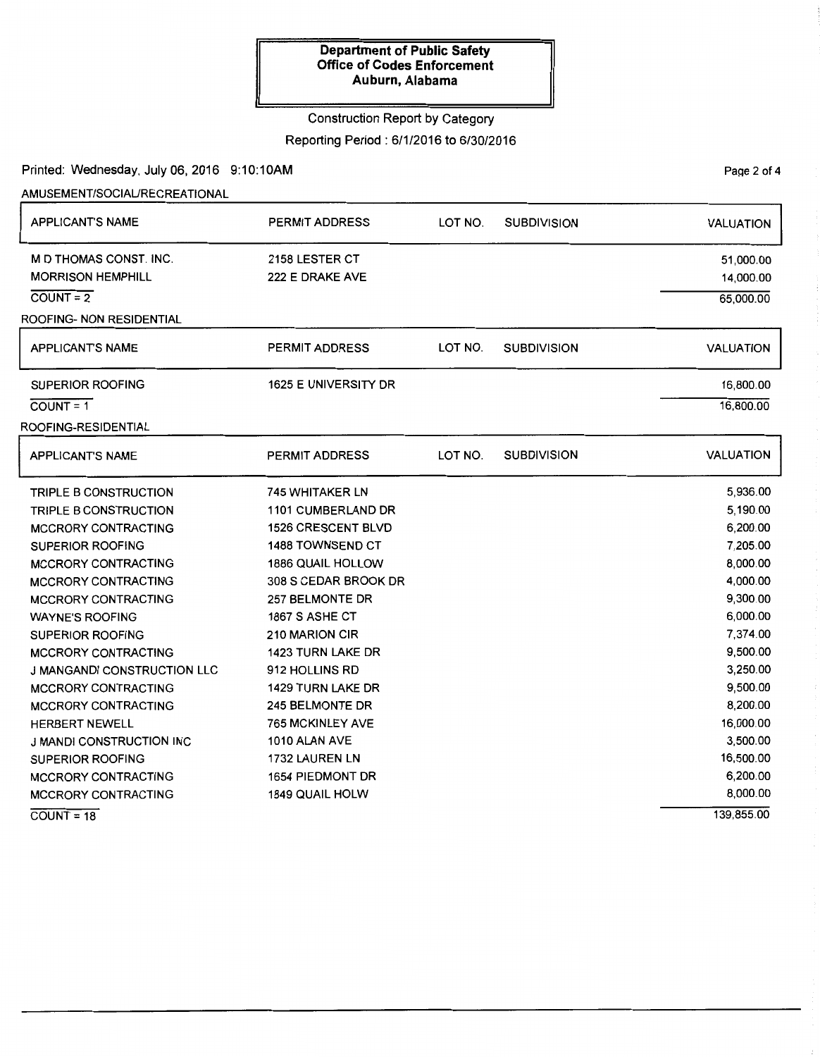### Construction Report by Category

Reporting Period: 6/1/2016 to 6/30/2016

Printed: Wednesday, July 06, 2016 9:10:10AM

AMUSEMENT/SOCIAURECREATIONAL

| <b>APPLICANT'S NAME</b>            | <b>PERMIT ADDRESS</b>    | LOT NO. | <b>SUBDIVISION</b> | <b>VALUATION</b> |
|------------------------------------|--------------------------|---------|--------------------|------------------|
| M D THOMAS CONST. INC.             | 2158 LESTER CT           |         |                    | 51,000.00        |
| <b>MORRISON HEMPHILL</b>           | 222 E DRAKE AVE          |         |                    | 14,000.00        |
| $COUNT = 2$                        |                          |         |                    | 65,000.00        |
| ROOFING- NON RESIDENTIAL           |                          |         |                    |                  |
| <b>APPLICANT'S NAME</b>            | PERMIT ADDRESS           | LOT NO. | <b>SUBDIVISION</b> | <b>VALUATION</b> |
| SUPERIOR ROOFING                   | 1625 E UNIVERSITY DR     |         |                    | 16,800.00        |
| $COUNT = 1$                        |                          |         |                    | 16,800.00        |
| ROOFING-RESIDENTIAL                |                          |         |                    |                  |
| <b>APPLICANT'S NAME</b>            | <b>PERMIT ADDRESS</b>    | LOT NO. | <b>SUBDIVISION</b> | <b>VALUATION</b> |
| TRIPLE B CONSTRUCTION              | <b>745 WHITAKER LN</b>   |         |                    | 5,936.00         |
| TRIPLE B CONSTRUCTION              | 1101 CUMBERLAND DR       |         |                    | 5,190.00         |
| <b>MCCRORY CONTRACTING</b>         | 1526 CRESCENT BLVD       |         |                    | 6,200.00         |
| <b>SUPERIOR ROOFING</b>            | 1488 TOWNSEND CT         |         |                    | 7,205.00         |
| <b>MCCRORY CONTRACTING</b>         | <b>1886 QUAIL HOLLOW</b> |         |                    | 8,000.00         |
| <b>MCCRORY CONTRACTING</b>         | 308 S CEDAR BROOK DR     |         |                    | 4,000.00         |
| <b>MCCRORY CONTRACTING</b>         | 257 BELMONTE DR          |         |                    | 9,300.00         |
| <b>WAYNE'S ROOFING</b>             | 1867 S ASHE CT           |         |                    | 6,000.00         |
| <b>SUPERIOR ROOFING</b>            | 210 MARION CIR           |         |                    | 7,374.00         |
| <b>MCCRORY CONTRACTING</b>         | 1423 TURN LAKE DR        |         |                    | 9,500.00         |
| <b>J MANGANDI CONSTRUCTION LLC</b> | 912 HOLLINS RD           |         |                    | 3,250.00         |
| MCCRORY CONTRACTING                | 1429 TURN LAKE DR        |         |                    | 9,500.00         |
| <b>MCCRORY CONTRACTING</b>         | 245 BELMONTE DR          |         |                    | 8,200.00         |
| <b>HERBERT NEWELL</b>              | <b>765 MCKINLEY AVE</b>  |         |                    | 16,000.00        |
| J MANDI CONSTRUCTION INC           | 1010 ALAN AVE            |         |                    | 3,500.00         |
| <b>SUPERIOR ROOFING</b>            | 1732 LAUREN LN           |         |                    | 16,500.00        |
| MCCRORY CONTRACTING                | <b>1654 PIEDMONT DR</b>  |         |                    | 6,200.00         |
| <b>MCCRORY CONTRACTING</b>         | <b>1849 QUAIL HOLW</b>   |         |                    | 8,000.00         |
| $COUNT = 18$                       |                          |         |                    | 139,855.00       |

PaQe 2 of 4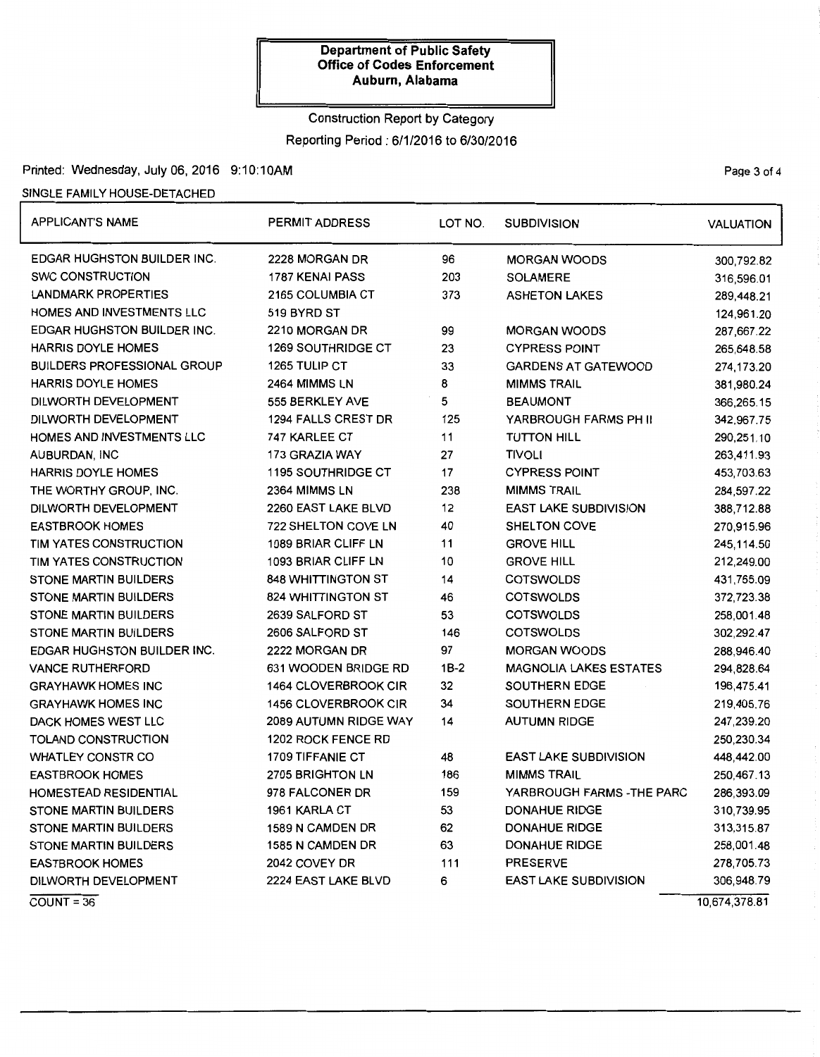# Construction Report by Category Reporting Period: 6/1/2016 to 6/30/2016

### Printed: Wednesday, July 06, 2016 9:10:10AM Page 3 of 4

### SINGLE FAMILY HOUSE-DETACHED

| <b>APPLICANT'S NAME</b>            | <b>PERMIT ADDRESS</b>     | LOT NO.                   | <b>SUBDIVISION</b>            | <b>VALUATION</b> |
|------------------------------------|---------------------------|---------------------------|-------------------------------|------------------|
| <b>EDGAR HUGHSTON BUILDER INC.</b> | 2228 MORGAN DR            | 96                        | <b>MORGAN WOODS</b>           | 300,792.82       |
| <b>SWC CONSTRUCTION</b>            | 1787 KENAI PASS           | 203                       | <b>SOLAMERE</b>               | 316,596.01       |
| LANDMARK PROPERTIES                | 2165 COLUMBIA CT          | 373                       | <b>ASHETON LAKES</b>          | 289,448.21       |
| HOMES AND INVESTMENTS LLC          | 519 BYRD ST               |                           |                               | 124,961.20       |
| <b>EDGAR HUGHSTON BUILDER INC.</b> | 2210 MORGAN DR            | 99<br><b>MORGAN WOODS</b> |                               | 287,667.22       |
| <b>HARRIS DOYLE HOMES</b>          | <b>1269 SOUTHRIDGE CT</b> | 23                        | <b>CYPRESS POINT</b>          |                  |
| <b>BUILDERS PROFESSIONAL GROUP</b> | 1265 TULIP CT             | 33                        | <b>GARDENS AT GATEWOOD</b>    | 274,173.20       |
| <b>HARRIS DOYLE HOMES</b>          | 2464 MIMMS LN             | 8                         | <b>MIMMS TRAIL</b>            | 381,980.24       |
| DILWORTH DEVELOPMENT               | 555 BERKLEY AVE           | 5                         | <b>BEAUMONT</b>               | 366,265.15       |
| DILWORTH DEVELOPMENT               | 1294 FALLS CREST DR       | 125                       | YARBROUGH FARMS PH II         | 342,967.75       |
| HOMES AND INVESTMENTS LLC          | 747 KARLEE CT             | 11                        | <b>TUTTON HILL</b>            | 290,251.10       |
| AUBURDAN, INC                      | 173 GRAZIA WAY            | 27                        | <b>TIVOLI</b>                 | 263,411.93       |
| <b>HARRIS DOYLE HOMES</b>          | <b>1195 SOUTHRIDGE CT</b> | 17                        | <b>CYPRESS POINT</b>          | 453,703.63       |
| THE WORTHY GROUP, INC.             | 2364 MIMMS LN             | 238                       | <b>MIMMS TRAIL</b>            | 284,597.22       |
| DILWORTH DEVELOPMENT               | 2260 EAST LAKE BLVD       | 12                        | <b>EAST LAKE SUBDIVISION</b>  | 388,712.88       |
| <b>EASTBROOK HOMES</b>             | 722 SHELTON COVE LN       | 40                        | <b>SHELTON COVE</b>           | 270,915.96       |
| TIM YATES CONSTRUCTION             | 1089 BRIAR CLIFF LN       | 11                        | <b>GROVE HILL</b>             | 245,114.50       |
| TIM YATES CONSTRUCTION             | 1093 BRIAR CLIFF LN       | 10                        | <b>GROVE HILL</b>             | 212,249.00       |
| <b>STONE MARTIN BUILDERS</b>       | <b>848 WHITTINGTON ST</b> | 14                        | <b>COTSWOLDS</b>              |                  |
| <b>STONE MARTIN BUILDERS</b>       | <b>824 WHITTINGTON ST</b> | 46                        | <b>COTSWOLDS</b>              |                  |
| <b>STONE MARTIN BUILDERS</b>       | 2639 SALFORD ST           | 53                        | <b>COTSWOLDS</b>              | 258,001.48       |
| <b>STONE MARTIN BUILDERS</b>       | 2606 SALFORD ST           | 146                       | <b>COTSWOLDS</b>              | 302,292.47       |
| <b>EDGAR HUGHSTON BUILDER INC.</b> | 2222 MORGAN DR            | 97                        | <b>MORGAN WOODS</b>           | 288,946.40       |
| <b>VANCE RUTHERFORD</b>            | 631 WOODEN BRIDGE RD      | $1B-2$                    | <b>MAGNOLIA LAKES ESTATES</b> | 294,828.64       |
| <b>GRAYHAWK HOMES INC</b>          | 1464 CLOVERBROOK CIR      | 32                        | <b>SOUTHERN EDGE</b>          | 196,475.41       |
| <b>GRAYHAWK HOMES INC</b>          | 1456 CLOVERBROOK CIR      | 34                        | <b>SOUTHERN EDGE</b>          | 219,405.76       |
| DACK HOMES WEST LLC                | 2089 AUTUMN RIDGE WAY     | 14                        | <b>AUTUMN RIDGE</b>           |                  |
| <b>TOLAND CONSTRUCTION</b>         | 1202 ROCK FENCE RD        |                           |                               | 250,230.34       |
| <b>WHATLEY CONSTR CO</b>           | 1709 TIFFANIE CT          | 48                        | <b>EAST LAKE SUBDIVISION</b>  | 448,442.00       |
| <b>EASTBROOK HOMES</b>             | 2705 BRIGHTON LN          | 186                       | <b>MIMMS TRAIL</b>            | 250,467.13       |
| <b>HOMESTEAD RESIDENTIAL</b>       | 978 FALCONER DR           | 159                       | YARBROUGH FARMS - THE PARC    | 286,393.09       |
| STONE MARTIN BUILDERS              | 1961 KARLA CT             | 53                        | <b>DONAHUE RIDGE</b>          | 310,739.95       |
| STONE MARTIN BUILDERS              | 1589 N CAMDEN DR          | 62                        | <b>DONAHUE RIDGE</b>          | 313,315.87       |
| <b>STONE MARTIN BUILDERS</b>       | 1585 N CAMDEN DR          | 63                        | <b>DONAHUE RIDGE</b>          | 258,001.48       |
| <b>EASTBROOK HOMES</b>             | 2042 COVEY DR             | 111                       | PRESERVE                      | 278,705.73       |
| DILWORTH DEVELOPMENT               | 2224 EAST LAKE BLVD       | 6                         | <b>EAST LAKE SUBDIVISION</b>  | 306,948.79       |
| $COUNT = 36$                       |                           |                           |                               | 10,674,378.81    |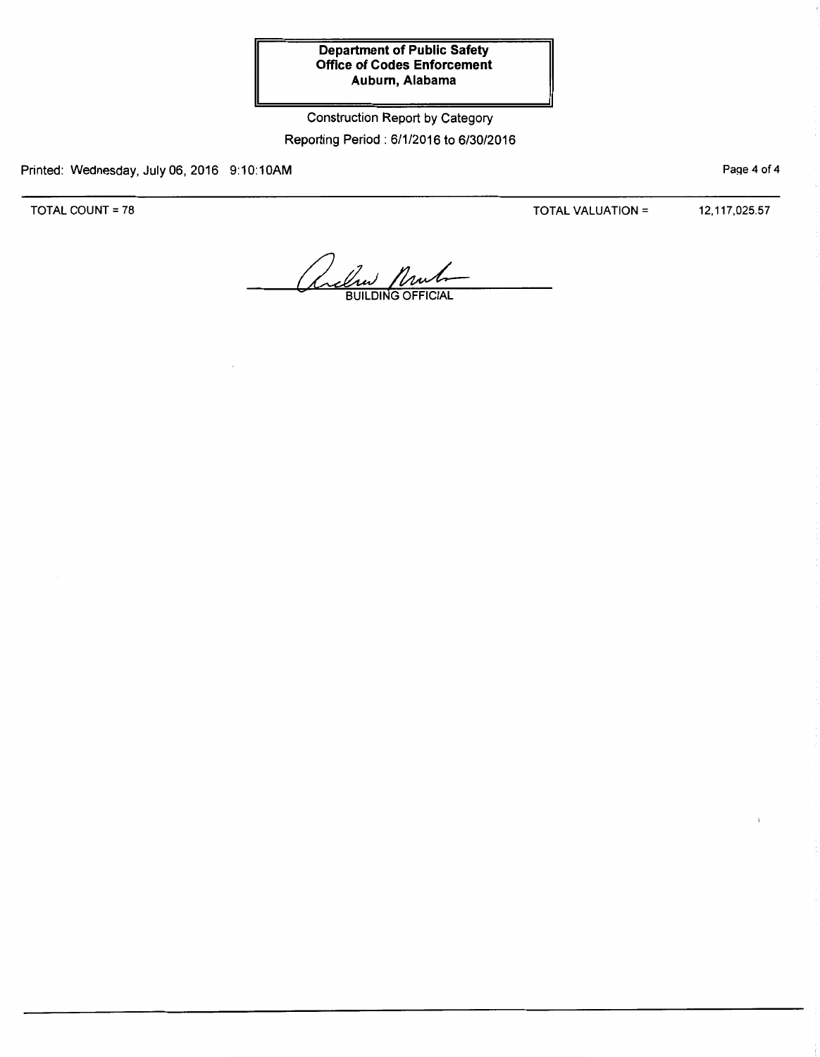Construction Report by Category Reporting Period: 6/1/2016 to 6/30/2016

Printed: Wednesday, July 06, 2016 9:10:10AM

TOTAL COUNT= 78

TOTAL VALUATION= 12,117,025.57

PaQe 4 of 4

aclin Mul